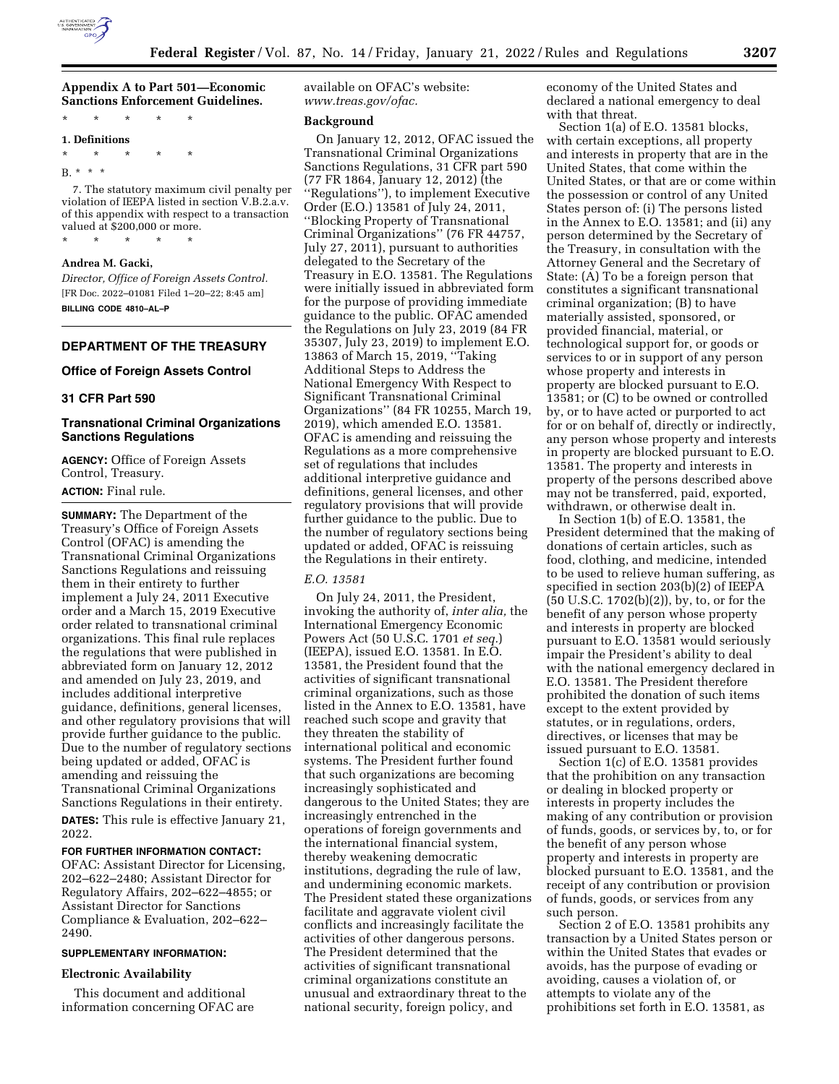

# **Appendix A to Part 501—Economic Sanctions Enforcement Guidelines.**

\* \* \* \* \* **1. Definitions**  \* \* \* \* \* B. \* \* \* 7. The statutory maximum civil penalty per violation of IEEPA listed in section V.B.2.a.v.

of this appendix with respect to a transaction valued at \$200,000 or more. \* \* \* \* \*

#### **Andrea M. Gacki,**

*Director, Office of Foreign Assets Control.*  [FR Doc. 2022–01081 Filed 1–20–22; 8:45 am] **BILLING CODE 4810–AL–P** 

## **DEPARTMENT OF THE TREASURY**

### **Office of Foreign Assets Control**

## **31 CFR Part 590**

## **Transnational Criminal Organizations Sanctions Regulations**

**AGENCY:** Office of Foreign Assets Control, Treasury.

# **ACTION:** Final rule.

**SUMMARY:** The Department of the Treasury's Office of Foreign Assets Control (OFAC) is amending the Transnational Criminal Organizations Sanctions Regulations and reissuing them in their entirety to further implement a July 24, 2011 Executive order and a March 15, 2019 Executive order related to transnational criminal organizations. This final rule replaces the regulations that were published in abbreviated form on January 12, 2012 and amended on July 23, 2019, and includes additional interpretive guidance, definitions, general licenses, and other regulatory provisions that will provide further guidance to the public. Due to the number of regulatory sections being updated or added, OFAC is amending and reissuing the Transnational Criminal Organizations Sanctions Regulations in their entirety. **DATES:** This rule is effective January 21, 2022.

### **FOR FURTHER INFORMATION CONTACT:**

OFAC: Assistant Director for Licensing, 202–622–2480; Assistant Director for Regulatory Affairs, 202–622–4855; or Assistant Director for Sanctions Compliance & Evaluation, 202–622– 2490.

## **SUPPLEMENTARY INFORMATION:**

#### **Electronic Availability**

This document and additional information concerning OFAC are available on OFAC's website: *[www.treas.gov/ofac.](http://www.treas.gov/ofac)* 

#### **Background**

On January 12, 2012, OFAC issued the Transnational Criminal Organizations Sanctions Regulations, 31 CFR part 590 (77 FR 1864, January 12, 2012) (the ''Regulations''), to implement Executive Order (E.O.) 13581 of July 24, 2011, ''Blocking Property of Transnational Criminal Organizations'' (76 FR 44757, July 27, 2011), pursuant to authorities delegated to the Secretary of the Treasury in E.O. 13581. The Regulations were initially issued in abbreviated form for the purpose of providing immediate guidance to the public. OFAC amended the Regulations on July 23, 2019 (84 FR 35307, July 23, 2019) to implement E.O. 13863 of March 15, 2019, ''Taking Additional Steps to Address the National Emergency With Respect to Significant Transnational Criminal Organizations'' (84 FR 10255, March 19, 2019), which amended E.O. 13581. OFAC is amending and reissuing the Regulations as a more comprehensive set of regulations that includes additional interpretive guidance and definitions, general licenses, and other regulatory provisions that will provide further guidance to the public. Due to the number of regulatory sections being updated or added, OFAC is reissuing the Regulations in their entirety.

#### *E.O. 13581*

On July 24, 2011, the President, invoking the authority of, *inter alia,* the International Emergency Economic Powers Act (50 U.S.C. 1701 *et seq.*) (IEEPA), issued E.O. 13581. In E.O. 13581, the President found that the activities of significant transnational criminal organizations, such as those listed in the Annex to E.O. 13581, have reached such scope and gravity that they threaten the stability of international political and economic systems. The President further found that such organizations are becoming increasingly sophisticated and dangerous to the United States; they are increasingly entrenched in the operations of foreign governments and the international financial system, thereby weakening democratic institutions, degrading the rule of law, and undermining economic markets. The President stated these organizations facilitate and aggravate violent civil conflicts and increasingly facilitate the activities of other dangerous persons. The President determined that the activities of significant transnational criminal organizations constitute an unusual and extraordinary threat to the national security, foreign policy, and

economy of the United States and declared a national emergency to deal with that threat.

Section 1(a) of E.O. 13581 blocks, with certain exceptions, all property and interests in property that are in the United States, that come within the United States, or that are or come within the possession or control of any United States person of: (i) The persons listed in the Annex to E.O. 13581; and (ii) any person determined by the Secretary of the Treasury, in consultation with the Attorney General and the Secretary of State: (A) To be a foreign person that constitutes a significant transnational criminal organization; (B) to have materially assisted, sponsored, or provided financial, material, or technological support for, or goods or services to or in support of any person whose property and interests in property are blocked pursuant to E.O. 13581; or (C) to be owned or controlled by, or to have acted or purported to act for or on behalf of, directly or indirectly, any person whose property and interests in property are blocked pursuant to E.O. 13581. The property and interests in property of the persons described above may not be transferred, paid, exported, withdrawn, or otherwise dealt in.

In Section 1(b) of E.O. 13581, the President determined that the making of donations of certain articles, such as food, clothing, and medicine, intended to be used to relieve human suffering, as specified in section 203(b)(2) of IEEPA (50 U.S.C. 1702(b)(2)), by, to, or for the benefit of any person whose property and interests in property are blocked pursuant to E.O. 13581 would seriously impair the President's ability to deal with the national emergency declared in E.O. 13581. The President therefore prohibited the donation of such items except to the extent provided by statutes, or in regulations, orders, directives, or licenses that may be issued pursuant to E.O. 13581.

Section 1(c) of E.O. 13581 provides that the prohibition on any transaction or dealing in blocked property or interests in property includes the making of any contribution or provision of funds, goods, or services by, to, or for the benefit of any person whose property and interests in property are blocked pursuant to E.O. 13581, and the receipt of any contribution or provision of funds, goods, or services from any such person.

Section 2 of E.O. 13581 prohibits any transaction by a United States person or within the United States that evades or avoids, has the purpose of evading or avoiding, causes a violation of, or attempts to violate any of the prohibitions set forth in E.O. 13581, as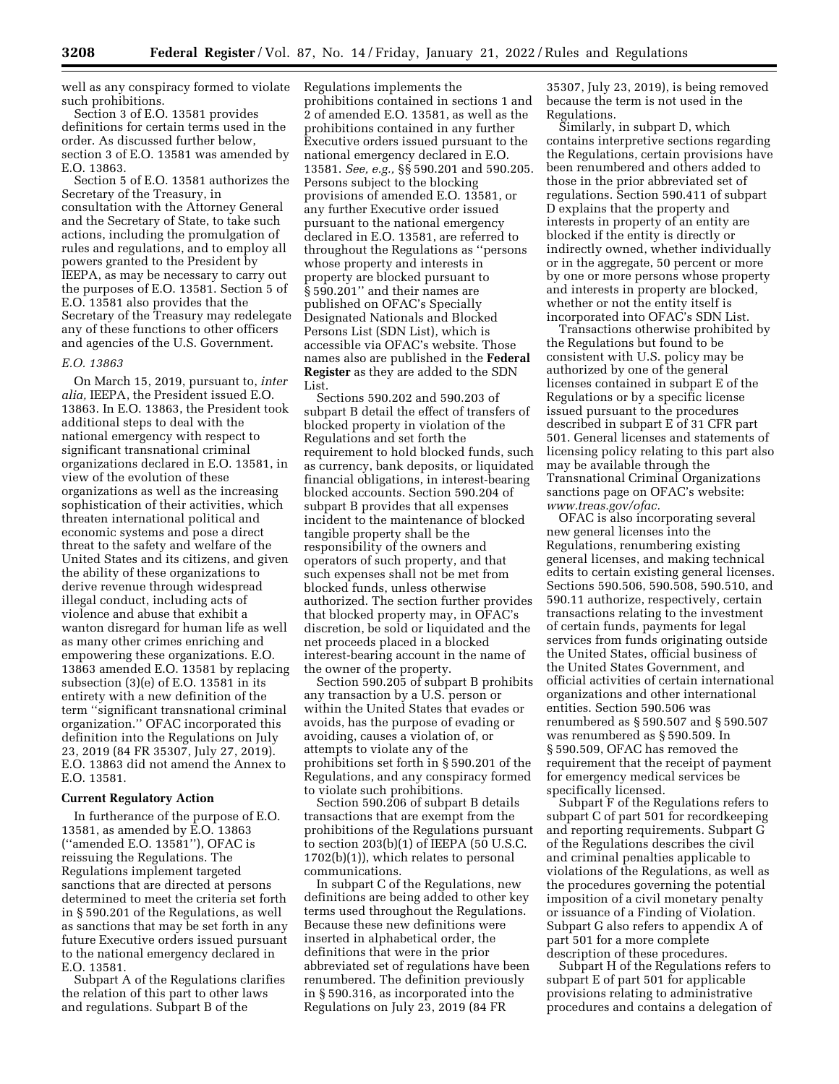well as any conspiracy formed to violate such prohibitions.

Section 3 of E.O. 13581 provides definitions for certain terms used in the order. As discussed further below, section 3 of E.O. 13581 was amended by E.O. 13863.

Section 5 of E.O. 13581 authorizes the Secretary of the Treasury, in consultation with the Attorney General and the Secretary of State, to take such actions, including the promulgation of rules and regulations, and to employ all powers granted to the President by IEEPA, as may be necessary to carry out the purposes of E.O. 13581. Section 5 of E.O. 13581 also provides that the Secretary of the Treasury may redelegate any of these functions to other officers and agencies of the U.S. Government.

#### *E.O. 13863*

On March 15, 2019, pursuant to, *inter alia,* IEEPA, the President issued E.O. 13863. In E.O. 13863, the President took additional steps to deal with the national emergency with respect to significant transnational criminal organizations declared in E.O. 13581, in view of the evolution of these organizations as well as the increasing sophistication of their activities, which threaten international political and economic systems and pose a direct threat to the safety and welfare of the United States and its citizens, and given the ability of these organizations to derive revenue through widespread illegal conduct, including acts of violence and abuse that exhibit a wanton disregard for human life as well as many other crimes enriching and empowering these organizations. E.O. 13863 amended E.O. 13581 by replacing subsection (3)(e) of E.O. 13581 in its entirety with a new definition of the term ''significant transnational criminal organization.'' OFAC incorporated this definition into the Regulations on July 23, 2019 (84 FR 35307, July 27, 2019). E.O. 13863 did not amend the Annex to E.O. 13581.

## **Current Regulatory Action**

In furtherance of the purpose of E.O. 13581, as amended by E.O. 13863 (''amended E.O. 13581''), OFAC is reissuing the Regulations. The Regulations implement targeted sanctions that are directed at persons determined to meet the criteria set forth in § 590.201 of the Regulations, as well as sanctions that may be set forth in any future Executive orders issued pursuant to the national emergency declared in E.O. 13581.

Subpart A of the Regulations clarifies the relation of this part to other laws and regulations. Subpart B of the

Regulations implements the prohibitions contained in sections 1 and 2 of amended E.O. 13581, as well as the prohibitions contained in any further Executive orders issued pursuant to the national emergency declared in E.O. 13581. *See, e.g.,* §§ 590.201 and 590.205. Persons subject to the blocking provisions of amended E.O. 13581, or any further Executive order issued pursuant to the national emergency declared in E.O. 13581, are referred to throughout the Regulations as ''persons whose property and interests in property are blocked pursuant to § 590.201'' and their names are published on OFAC's Specially Designated Nationals and Blocked Persons List (SDN List), which is accessible via OFAC's website. Those names also are published in the **Federal Register** as they are added to the SDN List.

Sections 590.202 and 590.203 of subpart B detail the effect of transfers of blocked property in violation of the Regulations and set forth the requirement to hold blocked funds, such as currency, bank deposits, or liquidated financial obligations, in interest-bearing blocked accounts. Section 590.204 of subpart B provides that all expenses incident to the maintenance of blocked tangible property shall be the responsibility of the owners and operators of such property, and that such expenses shall not be met from blocked funds, unless otherwise authorized. The section further provides that blocked property may, in OFAC's discretion, be sold or liquidated and the net proceeds placed in a blocked interest-bearing account in the name of the owner of the property.

Section 590.205 of subpart B prohibits any transaction by a U.S. person or within the United States that evades or avoids, has the purpose of evading or avoiding, causes a violation of, or attempts to violate any of the prohibitions set forth in § 590.201 of the Regulations, and any conspiracy formed to violate such prohibitions.

Section 590.206 of subpart B details transactions that are exempt from the prohibitions of the Regulations pursuant to section 203(b)(1) of IEEPA (50 U.S.C. 1702(b)(1)), which relates to personal communications.

In subpart C of the Regulations, new definitions are being added to other key terms used throughout the Regulations. Because these new definitions were inserted in alphabetical order, the definitions that were in the prior abbreviated set of regulations have been renumbered. The definition previously in § 590.316, as incorporated into the Regulations on July 23, 2019 (84 FR

35307, July 23, 2019), is being removed because the term is not used in the Regulations.

Similarly, in subpart D, which contains interpretive sections regarding the Regulations, certain provisions have been renumbered and others added to those in the prior abbreviated set of regulations. Section 590.411 of subpart D explains that the property and interests in property of an entity are blocked if the entity is directly or indirectly owned, whether individually or in the aggregate, 50 percent or more by one or more persons whose property and interests in property are blocked, whether or not the entity itself is incorporated into OFAC's SDN List.

Transactions otherwise prohibited by the Regulations but found to be consistent with U.S. policy may be authorized by one of the general licenses contained in subpart E of the Regulations or by a specific license issued pursuant to the procedures described in subpart E of 31 CFR part 501. General licenses and statements of licensing policy relating to this part also may be available through the Transnational Criminal Organizations sanctions page on OFAC's website: *[www.treas.gov/ofac.](http://www.treas.gov/ofac)* 

OFAC is also incorporating several new general licenses into the Regulations, renumbering existing general licenses, and making technical edits to certain existing general licenses. Sections 590.506, 590.508, 590.510, and 590.11 authorize, respectively, certain transactions relating to the investment of certain funds, payments for legal services from funds originating outside the United States, official business of the United States Government, and official activities of certain international organizations and other international entities. Section 590.506 was renumbered as § 590.507 and § 590.507 was renumbered as § 590.509. In § 590.509, OFAC has removed the requirement that the receipt of payment for emergency medical services be specifically licensed.

Subpart F of the Regulations refers to subpart C of part 501 for recordkeeping and reporting requirements. Subpart G of the Regulations describes the civil and criminal penalties applicable to violations of the Regulations, as well as the procedures governing the potential imposition of a civil monetary penalty or issuance of a Finding of Violation. Subpart G also refers to appendix A of part 501 for a more complete description of these procedures.

Subpart H of the Regulations refers to subpart E of part 501 for applicable provisions relating to administrative procedures and contains a delegation of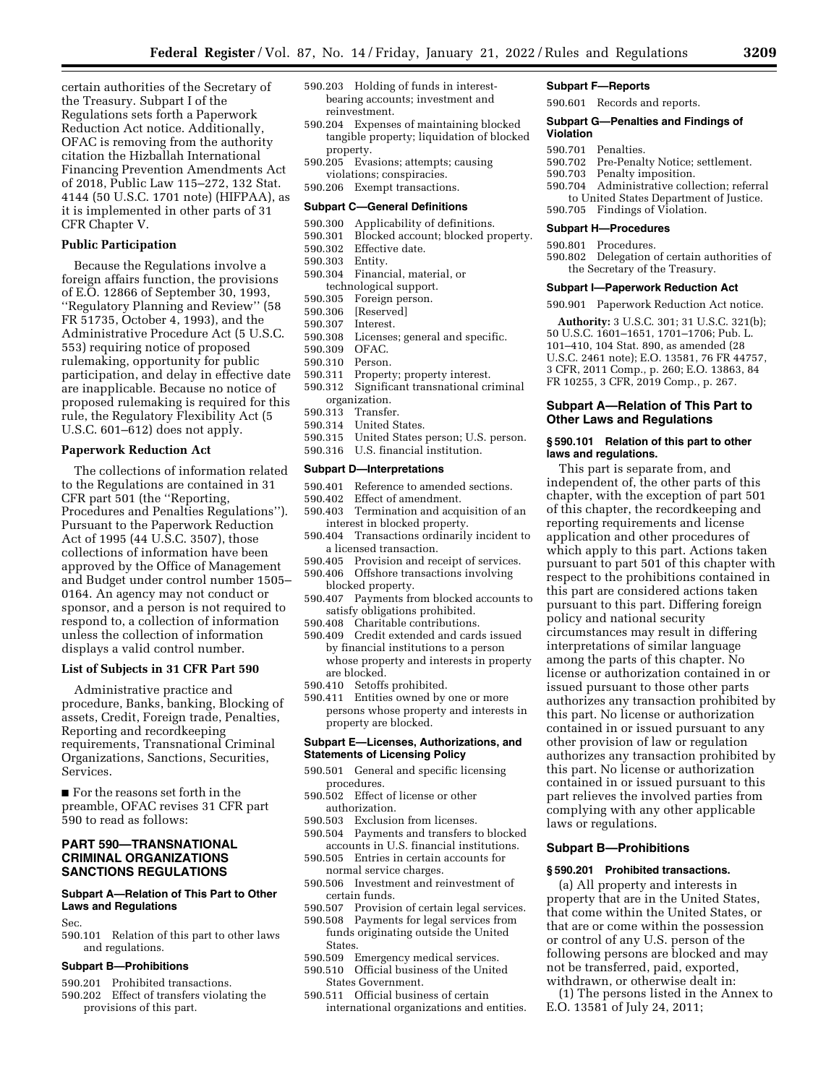certain authorities of the Secretary of the Treasury. Subpart I of the Regulations sets forth a Paperwork Reduction Act notice. Additionally, OFAC is removing from the authority citation the Hizballah International Financing Prevention Amendments Act of 2018, Public Law 115–272, 132 Stat. 4144 (50 U.S.C. 1701 note) (HIFPAA), as it is implemented in other parts of 31 CFR Chapter V.

### **Public Participation**

Because the Regulations involve a foreign affairs function, the provisions of E.O. 12866 of September 30, 1993, ''Regulatory Planning and Review'' (58 FR 51735, October 4, 1993), and the Administrative Procedure Act (5 U.S.C. 553) requiring notice of proposed rulemaking, opportunity for public participation, and delay in effective date are inapplicable. Because no notice of proposed rulemaking is required for this rule, the Regulatory Flexibility Act (5 U.S.C. 601–612) does not apply.

## **Paperwork Reduction Act**

The collections of information related to the Regulations are contained in 31 CFR part 501 (the ''Reporting, Procedures and Penalties Regulations''). Pursuant to the Paperwork Reduction Act of 1995 (44 U.S.C. 3507), those collections of information have been approved by the Office of Management and Budget under control number 1505– 0164. An agency may not conduct or sponsor, and a person is not required to respond to, a collection of information unless the collection of information displays a valid control number.

#### **List of Subjects in 31 CFR Part 590**

Administrative practice and procedure, Banks, banking, Blocking of assets, Credit, Foreign trade, Penalties, Reporting and recordkeeping requirements, Transnational Criminal Organizations, Sanctions, Securities, Services.

■ For the reasons set forth in the preamble, OFAC revises 31 CFR part 590 to read as follows:

### **PART 590—TRANSNATIONAL CRIMINAL ORGANIZATIONS SANCTIONS REGULATIONS**

### **Subpart A—Relation of This Part to Other Laws and Regulations**

Sec.

590.101 Relation of this part to other laws and regulations.

### **Subpart B—Prohibitions**

- 590.201 Prohibited transactions.
- 590.202 Effect of transfers violating the provisions of this part.
- 590.203 Holding of funds in interestbearing accounts; investment and reinvestment.
- 590.204 Expenses of maintaining blocked tangible property; liquidation of blocked property.
- 590.205 Evasions; attempts; causing violations; conspiracies.
- 590.206 Exempt transactions.

#### **Subpart C—General Definitions**

- 590.300 Applicability of definitions.
- 590.301 Blocked account; blocked property.
- 590.302 Effective date.
- 590.303 Entity.
- 590.304 Financial, material, or technological support.
- 590.305 Foreign person.
- 590.306 [Reserved]
- 590.307 Interest.<br>590.308 Licenses
- Licenses; general and specific.
- 590.309 OFAC.
- 590.310 Person.
- 590.311 Property; property interest.
- 590.312 Significant transnational criminal organization.<br>590.313 Transfe
- Transfer.
- 590.314 United States.
- 590.315 United States person; U.S. person.
- 590.316 U.S. financial institution.

#### **Subpart D—Interpretations**

- 590.401 Reference to amended sections.<br>590.402 Effect of amendment.
- Effect of amendment.
- 590.403 Termination and acquisition of an interest in blocked property.
- 590.404 Transactions ordinarily incident to a licensed transaction.
- 590.405 Provision and receipt of services. 590.406 Offshore transactions involving
- blocked property.
- 590.407 Payments from blocked accounts to satisfy obligations prohibited.
- 590.408 Charitable contributions.
- 590.409 Credit extended and cards issued by financial institutions to a person whose property and interests in property are blocked.
- 590.410 Setoffs prohibited.
- 590.411 Entities owned by one or more persons whose property and interests in property are blocked.

### **Subpart E—Licenses, Authorizations, and Statements of Licensing Policy**

- 590.501 General and specific licensing procedures.
- 590.502 Effect of license or other authorization.
- 590.503 Exclusion from licenses.
- 590.504 Payments and transfers to blocked accounts in U.S. financial institutions.
- 590.505 Entries in certain accounts for normal service charges.
- 590.506 Investment and reinvestment of certain funds.
- 590.507 Provision of certain legal services.
- 590.508 Payments for legal services from funds originating outside the United **States**
- 590.509 Emergency medical services.
- 590.510 Official business of the United
- States Government.
- 590.511 Official business of certain international organizations and entities.

## **Subpart F—Reports**

590.601 Records and reports.

#### **Subpart G—Penalties and Findings of Violation**

- 590.701 Penalties.
- 590.702 Pre-Penalty Notice; settlement.<br>590.703 Penalty imposition.
- Penalty imposition.
- 590.704 Administrative collection; referral to United States Department of Justice.
- 590.705 Findings of Violation.

## **Subpart H—Procedures**

590.801 Procedures.

590.802 Delegation of certain authorities of the Secretary of the Treasury.

#### **Subpart I—Paperwork Reduction Act**

590.901 Paperwork Reduction Act notice.

**Authority:** 3 U.S.C. 301; 31 U.S.C. 321(b); 50 U.S.C. 1601–1651, 1701–1706; Pub. L. 101–410, 104 Stat. 890, as amended (28 U.S.C. 2461 note); E.O. 13581, 76 FR 44757, 3 CFR, 2011 Comp., p. 260; E.O. 13863, 84 FR 10255, 3 CFR, 2019 Comp., p. 267.

### **Subpart A—Relation of This Part to Other Laws and Regulations**

### **§ 590.101 Relation of this part to other laws and regulations.**

This part is separate from, and independent of, the other parts of this chapter, with the exception of part 501 of this chapter, the recordkeeping and reporting requirements and license application and other procedures of which apply to this part. Actions taken pursuant to part 501 of this chapter with respect to the prohibitions contained in this part are considered actions taken pursuant to this part. Differing foreign policy and national security circumstances may result in differing interpretations of similar language among the parts of this chapter. No license or authorization contained in or issued pursuant to those other parts authorizes any transaction prohibited by this part. No license or authorization contained in or issued pursuant to any other provision of law or regulation authorizes any transaction prohibited by this part. No license or authorization contained in or issued pursuant to this part relieves the involved parties from complying with any other applicable laws or regulations.

## **Subpart B—Prohibitions**

#### **§ 590.201 Prohibited transactions.**

(a) All property and interests in property that are in the United States, that come within the United States, or that are or come within the possession or control of any U.S. person of the following persons are blocked and may not be transferred, paid, exported, withdrawn, or otherwise dealt in:

(1) The persons listed in the Annex to E.O. 13581 of July 24, 2011;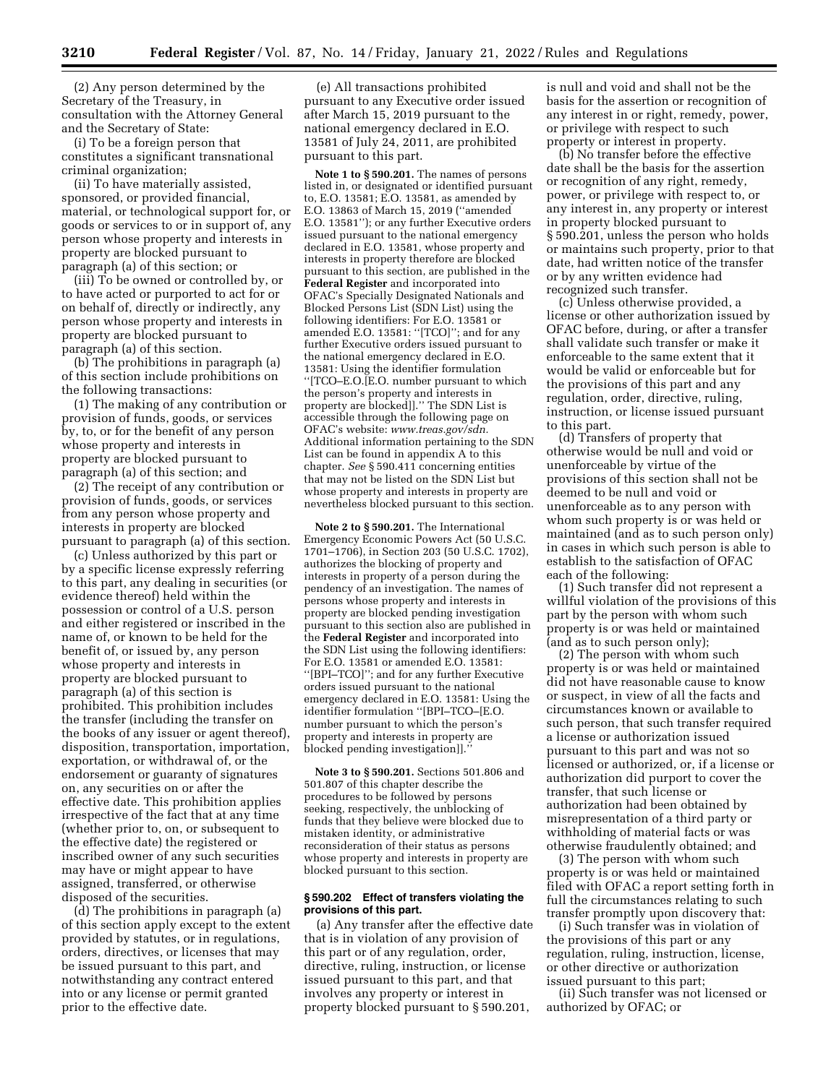(2) Any person determined by the Secretary of the Treasury, in consultation with the Attorney General and the Secretary of State:

(i) To be a foreign person that constitutes a significant transnational criminal organization;

(ii) To have materially assisted, sponsored, or provided financial, material, or technological support for, or goods or services to or in support of, any person whose property and interests in property are blocked pursuant to paragraph (a) of this section; or

(iii) To be owned or controlled by, or to have acted or purported to act for or on behalf of, directly or indirectly, any person whose property and interests in property are blocked pursuant to paragraph (a) of this section.

(b) The prohibitions in paragraph (a) of this section include prohibitions on the following transactions:

(1) The making of any contribution or provision of funds, goods, or services by, to, or for the benefit of any person whose property and interests in property are blocked pursuant to paragraph (a) of this section; and

(2) The receipt of any contribution or provision of funds, goods, or services from any person whose property and interests in property are blocked pursuant to paragraph (a) of this section.

(c) Unless authorized by this part or by a specific license expressly referring to this part, any dealing in securities (or evidence thereof) held within the possession or control of a U.S. person and either registered or inscribed in the name of, or known to be held for the benefit of, or issued by, any person whose property and interests in property are blocked pursuant to paragraph (a) of this section is prohibited. This prohibition includes the transfer (including the transfer on the books of any issuer or agent thereof), disposition, transportation, importation, exportation, or withdrawal of, or the endorsement or guaranty of signatures on, any securities on or after the effective date. This prohibition applies irrespective of the fact that at any time (whether prior to, on, or subsequent to the effective date) the registered or inscribed owner of any such securities may have or might appear to have assigned, transferred, or otherwise disposed of the securities.

(d) The prohibitions in paragraph (a) of this section apply except to the extent provided by statutes, or in regulations, orders, directives, or licenses that may be issued pursuant to this part, and notwithstanding any contract entered into or any license or permit granted prior to the effective date.

(e) All transactions prohibited pursuant to any Executive order issued after March 15, 2019 pursuant to the national emergency declared in E.O. 13581 of July 24, 2011, are prohibited pursuant to this part.

**Note 1 to § 590.201.** The names of persons listed in, or designated or identified pursuant to, E.O. 13581; E.O. 13581, as amended by E.O. 13863 of March 15, 2019 (''amended E.O. 13581''); or any further Executive orders issued pursuant to the national emergency declared in E.O. 13581, whose property and interests in property therefore are blocked pursuant to this section, are published in the **Federal Register** and incorporated into OFAC's Specially Designated Nationals and Blocked Persons List (SDN List) using the following identifiers: For E.O. 13581 or amended E.O. 13581: "[TCO]"; and for any further Executive orders issued pursuant to the national emergency declared in E.O. 13581: Using the identifier formulation ''[TCO–E.O.[E.O. number pursuant to which the person's property and interests in property are blocked]].'' The SDN List is accessible through the following page on OFAC's website: *[www.treas.gov/sdn.](http://www.treas.gov/sdn)*  Additional information pertaining to the SDN List can be found in appendix A to this chapter. *See* § 590.411 concerning entities that may not be listed on the SDN List but whose property and interests in property are nevertheless blocked pursuant to this section.

**Note 2 to § 590.201.** The International Emergency Economic Powers Act (50 U.S.C. 1701–1706), in Section 203 (50 U.S.C. 1702), authorizes the blocking of property and interests in property of a person during the pendency of an investigation. The names of persons whose property and interests in property are blocked pending investigation pursuant to this section also are published in the **Federal Register** and incorporated into the SDN List using the following identifiers: For E.O. 13581 or amended E.O. 13581: ''[BPI–TCO]''; and for any further Executive orders issued pursuant to the national emergency declared in E.O. 13581: Using the identifier formulation ''[BPI–TCO–[E.O. number pursuant to which the person's property and interests in property are blocked pending investigation]].''

**Note 3 to § 590.201.** Sections 501.806 and 501.807 of this chapter describe the procedures to be followed by persons seeking, respectively, the unblocking of funds that they believe were blocked due to mistaken identity, or administrative reconsideration of their status as persons whose property and interests in property are blocked pursuant to this section.

### **§ 590.202 Effect of transfers violating the provisions of this part.**

(a) Any transfer after the effective date that is in violation of any provision of this part or of any regulation, order, directive, ruling, instruction, or license issued pursuant to this part, and that involves any property or interest in property blocked pursuant to § 590.201,

is null and void and shall not be the basis for the assertion or recognition of any interest in or right, remedy, power, or privilege with respect to such property or interest in property.

(b) No transfer before the effective date shall be the basis for the assertion or recognition of any right, remedy, power, or privilege with respect to, or any interest in, any property or interest in property blocked pursuant to § 590.201, unless the person who holds or maintains such property, prior to that date, had written notice of the transfer or by any written evidence had recognized such transfer.

(c) Unless otherwise provided, a license or other authorization issued by OFAC before, during, or after a transfer shall validate such transfer or make it enforceable to the same extent that it would be valid or enforceable but for the provisions of this part and any regulation, order, directive, ruling, instruction, or license issued pursuant to this part.

(d) Transfers of property that otherwise would be null and void or unenforceable by virtue of the provisions of this section shall not be deemed to be null and void or unenforceable as to any person with whom such property is or was held or maintained (and as to such person only) in cases in which such person is able to establish to the satisfaction of OFAC each of the following:

(1) Such transfer did not represent a willful violation of the provisions of this part by the person with whom such property is or was held or maintained (and as to such person only);

(2) The person with whom such property is or was held or maintained did not have reasonable cause to know or suspect, in view of all the facts and circumstances known or available to such person, that such transfer required a license or authorization issued pursuant to this part and was not so licensed or authorized, or, if a license or authorization did purport to cover the transfer, that such license or authorization had been obtained by misrepresentation of a third party or withholding of material facts or was otherwise fraudulently obtained; and

(3) The person with whom such property is or was held or maintained filed with OFAC a report setting forth in full the circumstances relating to such transfer promptly upon discovery that:

(i) Such transfer was in violation of the provisions of this part or any regulation, ruling, instruction, license, or other directive or authorization issued pursuant to this part;

(ii) Such transfer was not licensed or authorized by OFAC; or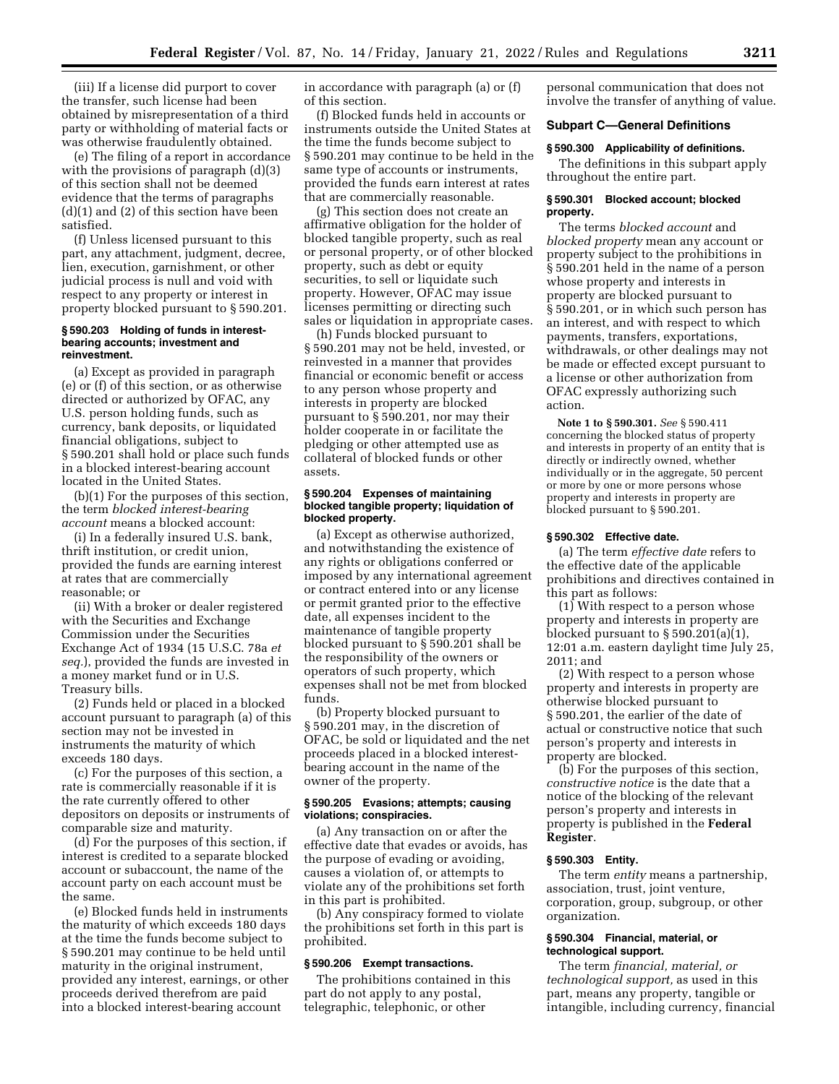(iii) If a license did purport to cover the transfer, such license had been obtained by misrepresentation of a third party or withholding of material facts or was otherwise fraudulently obtained.

(e) The filing of a report in accordance with the provisions of paragraph  $(d)(3)$ of this section shall not be deemed evidence that the terms of paragraphs (d)(1) and (2) of this section have been satisfied.

(f) Unless licensed pursuant to this part, any attachment, judgment, decree, lien, execution, garnishment, or other judicial process is null and void with respect to any property or interest in property blocked pursuant to § 590.201.

#### **§ 590.203 Holding of funds in interestbearing accounts; investment and reinvestment.**

(a) Except as provided in paragraph (e) or (f) of this section, or as otherwise directed or authorized by OFAC, any U.S. person holding funds, such as currency, bank deposits, or liquidated financial obligations, subject to § 590.201 shall hold or place such funds in a blocked interest-bearing account located in the United States.

(b)(1) For the purposes of this section, the term *blocked interest-bearing account* means a blocked account:

(i) In a federally insured U.S. bank, thrift institution, or credit union, provided the funds are earning interest at rates that are commercially reasonable; or

(ii) With a broker or dealer registered with the Securities and Exchange Commission under the Securities Exchange Act of 1934 (15 U.S.C. 78a *et seq.*), provided the funds are invested in a money market fund or in U.S. Treasury bills.

(2) Funds held or placed in a blocked account pursuant to paragraph (a) of this section may not be invested in instruments the maturity of which exceeds 180 days.

(c) For the purposes of this section, a rate is commercially reasonable if it is the rate currently offered to other depositors on deposits or instruments of comparable size and maturity.

(d) For the purposes of this section, if interest is credited to a separate blocked account or subaccount, the name of the account party on each account must be the same.

(e) Blocked funds held in instruments the maturity of which exceeds 180 days at the time the funds become subject to § 590.201 may continue to be held until maturity in the original instrument, provided any interest, earnings, or other proceeds derived therefrom are paid into a blocked interest-bearing account

in accordance with paragraph (a) or (f) of this section.

(f) Blocked funds held in accounts or instruments outside the United States at the time the funds become subject to § 590.201 may continue to be held in the same type of accounts or instruments, provided the funds earn interest at rates that are commercially reasonable.

(g) This section does not create an affirmative obligation for the holder of blocked tangible property, such as real or personal property, or of other blocked property, such as debt or equity securities, to sell or liquidate such property. However, OFAC may issue licenses permitting or directing such sales or liquidation in appropriate cases.

(h) Funds blocked pursuant to § 590.201 may not be held, invested, or reinvested in a manner that provides financial or economic benefit or access to any person whose property and interests in property are blocked pursuant to § 590.201, nor may their holder cooperate in or facilitate the pledging or other attempted use as collateral of blocked funds or other assets.

### **§ 590.204 Expenses of maintaining blocked tangible property; liquidation of blocked property.**

(a) Except as otherwise authorized, and notwithstanding the existence of any rights or obligations conferred or imposed by any international agreement or contract entered into or any license or permit granted prior to the effective date, all expenses incident to the maintenance of tangible property blocked pursuant to § 590.201 shall be the responsibility of the owners or operators of such property, which expenses shall not be met from blocked funds.

(b) Property blocked pursuant to § 590.201 may, in the discretion of OFAC, be sold or liquidated and the net proceeds placed in a blocked interestbearing account in the name of the owner of the property.

## **§ 590.205 Evasions; attempts; causing violations; conspiracies.**

(a) Any transaction on or after the effective date that evades or avoids, has the purpose of evading or avoiding, causes a violation of, or attempts to violate any of the prohibitions set forth in this part is prohibited.

(b) Any conspiracy formed to violate the prohibitions set forth in this part is prohibited.

## **§ 590.206 Exempt transactions.**

The prohibitions contained in this part do not apply to any postal, telegraphic, telephonic, or other

personal communication that does not involve the transfer of anything of value.

## **Subpart C—General Definitions**

## **§ 590.300 Applicability of definitions.**

The definitions in this subpart apply throughout the entire part.

#### **§ 590.301 Blocked account; blocked property.**

The terms *blocked account* and *blocked property* mean any account or property subject to the prohibitions in § 590.201 held in the name of a person whose property and interests in property are blocked pursuant to § 590.201, or in which such person has an interest, and with respect to which payments, transfers, exportations, withdrawals, or other dealings may not be made or effected except pursuant to a license or other authorization from OFAC expressly authorizing such action.

**Note 1 to § 590.301.** *See* § 590.411 concerning the blocked status of property and interests in property of an entity that is directly or indirectly owned, whether individually or in the aggregate, 50 percent or more by one or more persons whose property and interests in property are blocked pursuant to § 590.201.

#### **§ 590.302 Effective date.**

(a) The term *effective date* refers to the effective date of the applicable prohibitions and directives contained in this part as follows:

(1) With respect to a person whose property and interests in property are blocked pursuant to § 590.201(a)(1), 12:01 a.m. eastern daylight time July 25, 2011; and

(2) With respect to a person whose property and interests in property are otherwise blocked pursuant to § 590.201, the earlier of the date of actual or constructive notice that such person's property and interests in property are blocked.

(b) For the purposes of this section, *constructive notice* is the date that a notice of the blocking of the relevant person's property and interests in property is published in the **Federal Register**.

#### **§ 590.303 Entity.**

The term *entity* means a partnership, association, trust, joint venture, corporation, group, subgroup, or other organization.

## **§ 590.304 Financial, material, or technological support.**

The term *financial, material, or technological support,* as used in this part, means any property, tangible or intangible, including currency, financial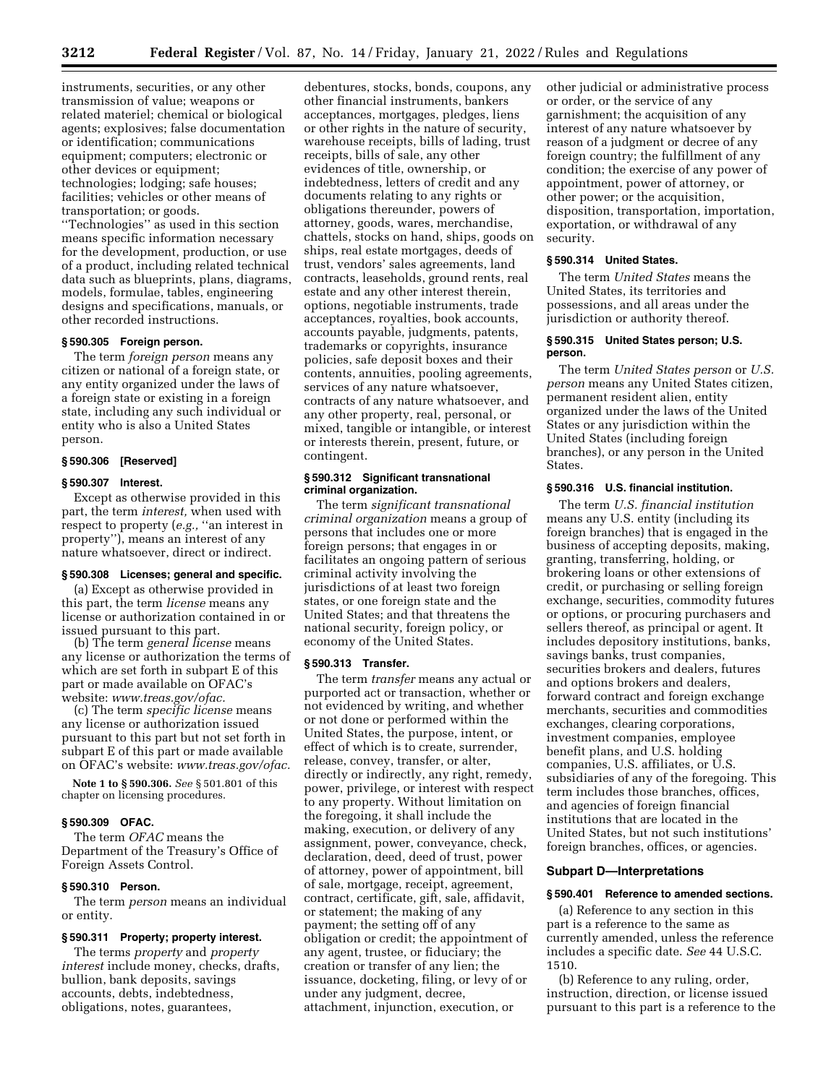**3212 Federal Register** / Vol. 87, No. 14 / Friday, January 21, 2022 / Rules and Regulations

instruments, securities, or any other transmission of value; weapons or related materiel; chemical or biological agents; explosives; false documentation or identification; communications equipment; computers; electronic or other devices or equipment; technologies; lodging; safe houses; facilities; vehicles or other means of transportation; or goods.

''Technologies'' as used in this section means specific information necessary for the development, production, or use of a product, including related technical data such as blueprints, plans, diagrams, models, formulae, tables, engineering designs and specifications, manuals, or other recorded instructions.

#### **§ 590.305 Foreign person.**

The term *foreign person* means any citizen or national of a foreign state, or any entity organized under the laws of a foreign state or existing in a foreign state, including any such individual or entity who is also a United States person.

#### **§ 590.306 [Reserved]**

#### **§ 590.307 Interest.**

Except as otherwise provided in this part, the term *interest,* when used with respect to property (*e.g.,* ''an interest in property''), means an interest of any nature whatsoever, direct or indirect.

#### **§ 590.308 Licenses; general and specific.**

(a) Except as otherwise provided in this part, the term *license* means any license or authorization contained in or issued pursuant to this part.

(b) The term *general license* means any license or authorization the terms of which are set forth in subpart E of this part or made available on OFAC's website: *[www.treas.gov/ofac.](http://www.treas.gov/ofac)* 

(c) The term *specific license* means any license or authorization issued pursuant to this part but not set forth in subpart E of this part or made available on OFAC's website: *[www.treas.gov/ofac.](http://www.treas.gov/ofac)* 

**Note 1 to § 590.306.** *See* § 501.801 of this chapter on licensing procedures.

### **§ 590.309 OFAC.**

The term *OFAC* means the Department of the Treasury's Office of Foreign Assets Control.

## **§ 590.310 Person.**

The term *person* means an individual or entity.

### **§ 590.311 Property; property interest.**

The terms *property* and *property interest* include money, checks, drafts, bullion, bank deposits, savings accounts, debts, indebtedness, obligations, notes, guarantees,

debentures, stocks, bonds, coupons, any other financial instruments, bankers acceptances, mortgages, pledges, liens or other rights in the nature of security, warehouse receipts, bills of lading, trust receipts, bills of sale, any other evidences of title, ownership, or indebtedness, letters of credit and any documents relating to any rights or obligations thereunder, powers of attorney, goods, wares, merchandise, chattels, stocks on hand, ships, goods on ships, real estate mortgages, deeds of trust, vendors' sales agreements, land contracts, leaseholds, ground rents, real estate and any other interest therein, options, negotiable instruments, trade acceptances, royalties, book accounts, accounts payable, judgments, patents, trademarks or copyrights, insurance policies, safe deposit boxes and their contents, annuities, pooling agreements, services of any nature whatsoever, contracts of any nature whatsoever, and any other property, real, personal, or mixed, tangible or intangible, or interest or interests therein, present, future, or contingent.

#### **§ 590.312 Significant transnational criminal organization.**

The term *significant transnational criminal organization* means a group of persons that includes one or more foreign persons; that engages in or facilitates an ongoing pattern of serious criminal activity involving the jurisdictions of at least two foreign states, or one foreign state and the United States; and that threatens the national security, foreign policy, or economy of the United States.

#### **§ 590.313 Transfer.**

The term *transfer* means any actual or purported act or transaction, whether or not evidenced by writing, and whether or not done or performed within the United States, the purpose, intent, or effect of which is to create, surrender, release, convey, transfer, or alter, directly or indirectly, any right, remedy, power, privilege, or interest with respect to any property. Without limitation on the foregoing, it shall include the making, execution, or delivery of any assignment, power, conveyance, check, declaration, deed, deed of trust, power of attorney, power of appointment, bill of sale, mortgage, receipt, agreement, contract, certificate, gift, sale, affidavit, or statement; the making of any payment; the setting off of any obligation or credit; the appointment of any agent, trustee, or fiduciary; the creation or transfer of any lien; the issuance, docketing, filing, or levy of or under any judgment, decree, attachment, injunction, execution, or

other judicial or administrative process or order, or the service of any garnishment; the acquisition of any interest of any nature whatsoever by reason of a judgment or decree of any foreign country; the fulfillment of any condition; the exercise of any power of appointment, power of attorney, or other power; or the acquisition, disposition, transportation, importation, exportation, or withdrawal of any security.

### **§ 590.314 United States.**

The term *United States* means the United States, its territories and possessions, and all areas under the jurisdiction or authority thereof.

#### **§ 590.315 United States person; U.S. person.**

The term *United States person* or *U.S. person* means any United States citizen, permanent resident alien, entity organized under the laws of the United States or any jurisdiction within the United States (including foreign branches), or any person in the United States.

#### **§ 590.316 U.S. financial institution.**

The term *U.S. financial institution*  means any U.S. entity (including its foreign branches) that is engaged in the business of accepting deposits, making, granting, transferring, holding, or brokering loans or other extensions of credit, or purchasing or selling foreign exchange, securities, commodity futures or options, or procuring purchasers and sellers thereof, as principal or agent. It includes depository institutions, banks, savings banks, trust companies, securities brokers and dealers, futures and options brokers and dealers, forward contract and foreign exchange merchants, securities and commodities exchanges, clearing corporations, investment companies, employee benefit plans, and U.S. holding companies, U.S. affiliates, or U.S. subsidiaries of any of the foregoing. This term includes those branches, offices, and agencies of foreign financial institutions that are located in the United States, but not such institutions' foreign branches, offices, or agencies.

## **Subpart D—Interpretations**

#### **§ 590.401 Reference to amended sections.**

(a) Reference to any section in this part is a reference to the same as currently amended, unless the reference includes a specific date. *See* 44 U.S.C. 1510.

(b) Reference to any ruling, order, instruction, direction, or license issued pursuant to this part is a reference to the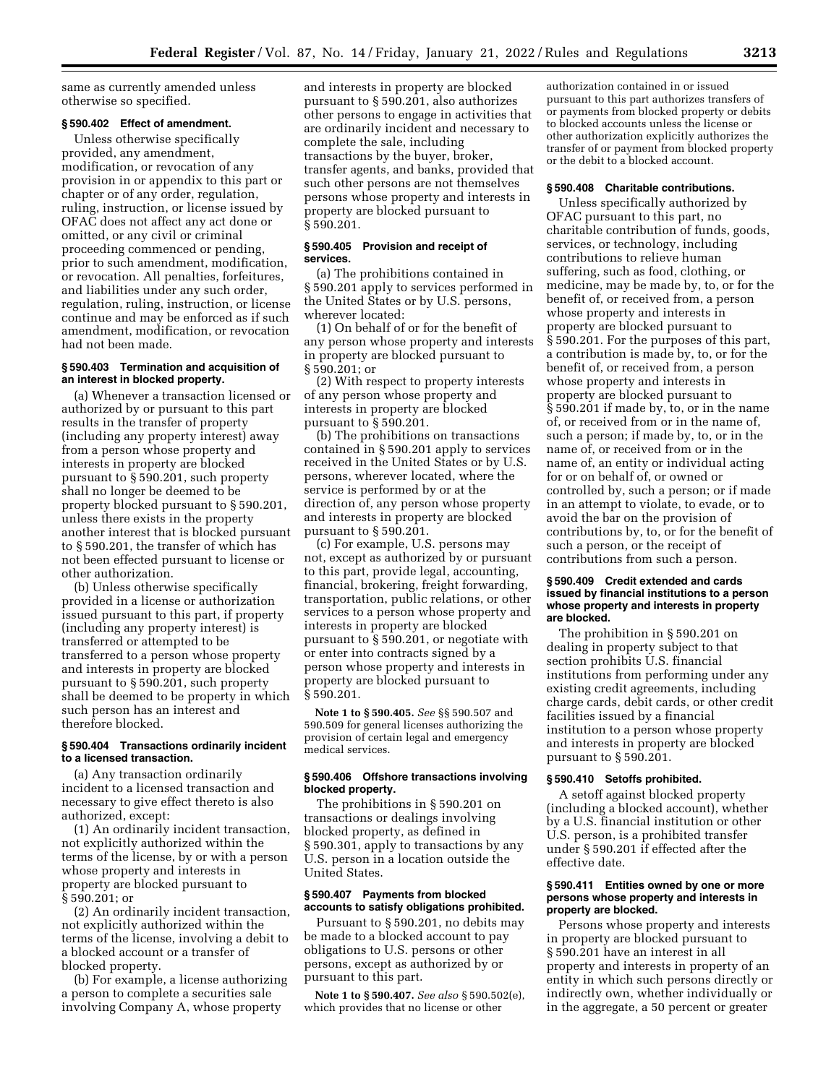same as currently amended unless otherwise so specified.

## **§ 590.402 Effect of amendment.**

Unless otherwise specifically provided, any amendment, modification, or revocation of any provision in or appendix to this part or chapter or of any order, regulation, ruling, instruction, or license issued by OFAC does not affect any act done or omitted, or any civil or criminal proceeding commenced or pending, prior to such amendment, modification, or revocation. All penalties, forfeitures, and liabilities under any such order, regulation, ruling, instruction, or license continue and may be enforced as if such amendment, modification, or revocation had not been made.

#### **§ 590.403 Termination and acquisition of an interest in blocked property.**

(a) Whenever a transaction licensed or authorized by or pursuant to this part results in the transfer of property (including any property interest) away from a person whose property and interests in property are blocked pursuant to § 590.201, such property shall no longer be deemed to be property blocked pursuant to § 590.201, unless there exists in the property another interest that is blocked pursuant to § 590.201, the transfer of which has not been effected pursuant to license or other authorization.

(b) Unless otherwise specifically provided in a license or authorization issued pursuant to this part, if property (including any property interest) is transferred or attempted to be transferred to a person whose property and interests in property are blocked pursuant to § 590.201, such property shall be deemed to be property in which such person has an interest and therefore blocked.

### **§ 590.404 Transactions ordinarily incident to a licensed transaction.**

(a) Any transaction ordinarily incident to a licensed transaction and necessary to give effect thereto is also authorized, except:

(1) An ordinarily incident transaction, not explicitly authorized within the terms of the license, by or with a person whose property and interests in property are blocked pursuant to § 590.201; or

(2) An ordinarily incident transaction, not explicitly authorized within the terms of the license, involving a debit to a blocked account or a transfer of blocked property.

(b) For example, a license authorizing a person to complete a securities sale involving Company A, whose property

and interests in property are blocked pursuant to § 590.201, also authorizes other persons to engage in activities that are ordinarily incident and necessary to complete the sale, including transactions by the buyer, broker, transfer agents, and banks, provided that such other persons are not themselves persons whose property and interests in property are blocked pursuant to § 590.201.

## **§ 590.405 Provision and receipt of services.**

(a) The prohibitions contained in § 590.201 apply to services performed in the United States or by U.S. persons, wherever located:

(1) On behalf of or for the benefit of any person whose property and interests in property are blocked pursuant to § 590.201; or

(2) With respect to property interests of any person whose property and interests in property are blocked pursuant to § 590.201.

(b) The prohibitions on transactions contained in § 590.201 apply to services received in the United States or by U.S. persons, wherever located, where the service is performed by or at the direction of, any person whose property and interests in property are blocked pursuant to § 590.201.

(c) For example, U.S. persons may not, except as authorized by or pursuant to this part, provide legal, accounting, financial, brokering, freight forwarding, transportation, public relations, or other services to a person whose property and interests in property are blocked pursuant to § 590.201, or negotiate with or enter into contracts signed by a person whose property and interests in property are blocked pursuant to § 590.201.

**Note 1 to § 590.405.** *See* §§ 590.507 and 590.509 for general licenses authorizing the provision of certain legal and emergency medical services.

### **§ 590.406 Offshore transactions involving blocked property.**

The prohibitions in § 590.201 on transactions or dealings involving blocked property, as defined in § 590.301, apply to transactions by any U.S. person in a location outside the United States.

## **§ 590.407 Payments from blocked accounts to satisfy obligations prohibited.**

Pursuant to § 590.201, no debits may be made to a blocked account to pay obligations to U.S. persons or other persons, except as authorized by or pursuant to this part.

**Note 1 to § 590.407.** *See also* § 590.502(e), which provides that no license or other

authorization contained in or issued pursuant to this part authorizes transfers of or payments from blocked property or debits to blocked accounts unless the license or other authorization explicitly authorizes the transfer of or payment from blocked property or the debit to a blocked account.

### **§ 590.408 Charitable contributions.**

Unless specifically authorized by OFAC pursuant to this part, no charitable contribution of funds, goods, services, or technology, including contributions to relieve human suffering, such as food, clothing, or medicine, may be made by, to, or for the benefit of, or received from, a person whose property and interests in property are blocked pursuant to § 590.201. For the purposes of this part, a contribution is made by, to, or for the benefit of, or received from, a person whose property and interests in property are blocked pursuant to § 590.201 if made by, to, or in the name of, or received from or in the name of, such a person; if made by, to, or in the name of, or received from or in the name of, an entity or individual acting for or on behalf of, or owned or controlled by, such a person; or if made in an attempt to violate, to evade, or to avoid the bar on the provision of contributions by, to, or for the benefit of such a person, or the receipt of contributions from such a person.

### **§ 590.409 Credit extended and cards issued by financial institutions to a person whose property and interests in property are blocked.**

The prohibition in § 590.201 on dealing in property subject to that section prohibits U.S. financial institutions from performing under any existing credit agreements, including charge cards, debit cards, or other credit facilities issued by a financial institution to a person whose property and interests in property are blocked pursuant to § 590.201.

#### **§ 590.410 Setoffs prohibited.**

A setoff against blocked property (including a blocked account), whether by a U.S. financial institution or other U.S. person, is a prohibited transfer under § 590.201 if effected after the effective date.

### **§ 590.411 Entities owned by one or more persons whose property and interests in property are blocked.**

Persons whose property and interests in property are blocked pursuant to § 590.201 have an interest in all property and interests in property of an entity in which such persons directly or indirectly own, whether individually or in the aggregate, a 50 percent or greater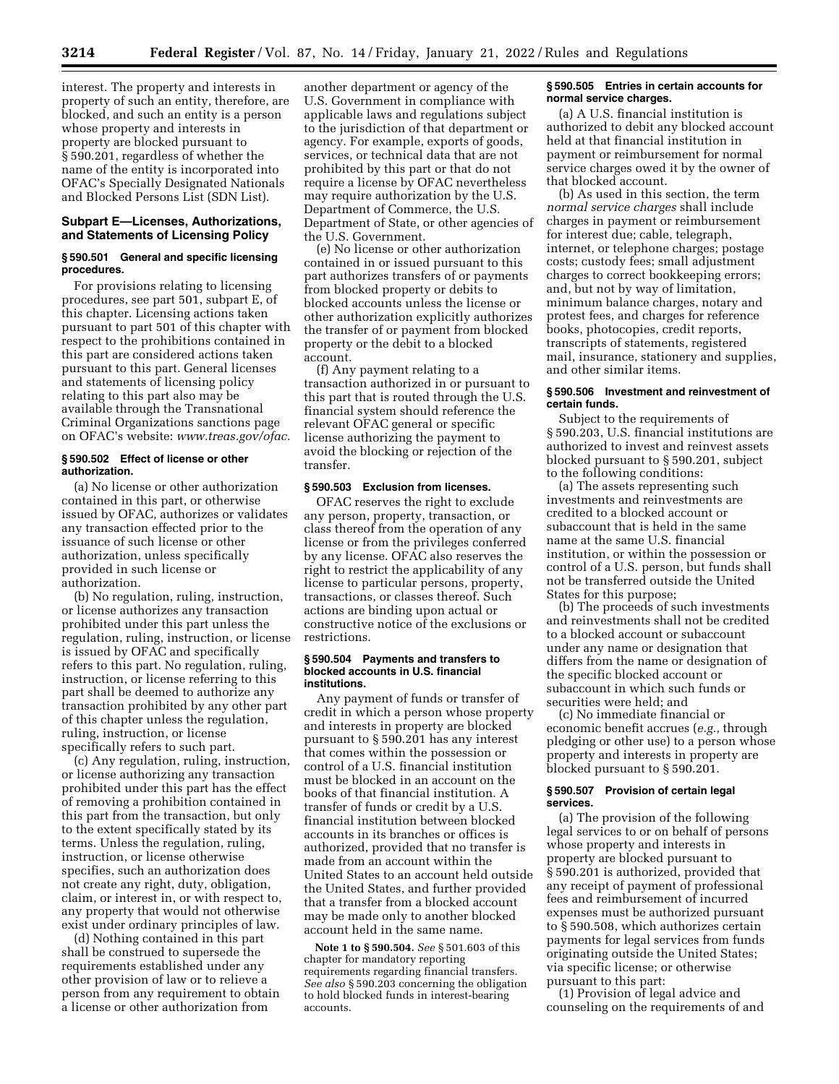interest. The property and interests in property of such an entity, therefore, are blocked, and such an entity is a person whose property and interests in property are blocked pursuant to § 590.201, regardless of whether the name of the entity is incorporated into OFAC's Specially Designated Nationals and Blocked Persons List (SDN List).

## **Subpart E—Licenses, Authorizations, and Statements of Licensing Policy**

## **§ 590.501 General and specific licensing procedures.**

For provisions relating to licensing procedures, see part 501, subpart E, of this chapter. Licensing actions taken pursuant to part 501 of this chapter with respect to the prohibitions contained in this part are considered actions taken pursuant to this part. General licenses and statements of licensing policy relating to this part also may be available through the Transnational Criminal Organizations sanctions page on OFAC's website: *[www.treas.gov/ofac.](http://www.treas.gov/ofac)* 

### **§ 590.502 Effect of license or other authorization.**

(a) No license or other authorization contained in this part, or otherwise issued by OFAC, authorizes or validates any transaction effected prior to the issuance of such license or other authorization, unless specifically provided in such license or authorization.

(b) No regulation, ruling, instruction, or license authorizes any transaction prohibited under this part unless the regulation, ruling, instruction, or license is issued by OFAC and specifically refers to this part. No regulation, ruling, instruction, or license referring to this part shall be deemed to authorize any transaction prohibited by any other part of this chapter unless the regulation, ruling, instruction, or license specifically refers to such part.

(c) Any regulation, ruling, instruction, or license authorizing any transaction prohibited under this part has the effect of removing a prohibition contained in this part from the transaction, but only to the extent specifically stated by its terms. Unless the regulation, ruling, instruction, or license otherwise specifies, such an authorization does not create any right, duty, obligation, claim, or interest in, or with respect to, any property that would not otherwise exist under ordinary principles of law.

(d) Nothing contained in this part shall be construed to supersede the requirements established under any other provision of law or to relieve a person from any requirement to obtain a license or other authorization from

another department or agency of the U.S. Government in compliance with applicable laws and regulations subject to the jurisdiction of that department or agency. For example, exports of goods, services, or technical data that are not prohibited by this part or that do not require a license by OFAC nevertheless may require authorization by the U.S. Department of Commerce, the U.S. Department of State, or other agencies of the U.S. Government.

(e) No license or other authorization contained in or issued pursuant to this part authorizes transfers of or payments from blocked property or debits to blocked accounts unless the license or other authorization explicitly authorizes the transfer of or payment from blocked property or the debit to a blocked account.

(f) Any payment relating to a transaction authorized in or pursuant to this part that is routed through the U.S. financial system should reference the relevant OFAC general or specific license authorizing the payment to avoid the blocking or rejection of the transfer.

## **§ 590.503 Exclusion from licenses.**

OFAC reserves the right to exclude any person, property, transaction, or class thereof from the operation of any license or from the privileges conferred by any license. OFAC also reserves the right to restrict the applicability of any license to particular persons, property, transactions, or classes thereof. Such actions are binding upon actual or constructive notice of the exclusions or restrictions.

#### **§ 590.504 Payments and transfers to blocked accounts in U.S. financial institutions.**

Any payment of funds or transfer of credit in which a person whose property and interests in property are blocked pursuant to § 590.201 has any interest that comes within the possession or control of a U.S. financial institution must be blocked in an account on the books of that financial institution. A transfer of funds or credit by a U.S. financial institution between blocked accounts in its branches or offices is authorized, provided that no transfer is made from an account within the United States to an account held outside the United States, and further provided that a transfer from a blocked account may be made only to another blocked account held in the same name.

**Note 1 to § 590.504.** *See* § 501.603 of this chapter for mandatory reporting requirements regarding financial transfers. *See also* § 590.203 concerning the obligation to hold blocked funds in interest-bearing accounts.

### **§ 590.505 Entries in certain accounts for normal service charges.**

(a) A U.S. financial institution is authorized to debit any blocked account held at that financial institution in payment or reimbursement for normal service charges owed it by the owner of that blocked account.

(b) As used in this section, the term *normal service charges* shall include charges in payment or reimbursement for interest due; cable, telegraph, internet, or telephone charges; postage costs; custody fees; small adjustment charges to correct bookkeeping errors; and, but not by way of limitation, minimum balance charges, notary and protest fees, and charges for reference books, photocopies, credit reports, transcripts of statements, registered mail, insurance, stationery and supplies, and other similar items.

### **§ 590.506 Investment and reinvestment of certain funds.**

Subject to the requirements of § 590.203, U.S. financial institutions are authorized to invest and reinvest assets blocked pursuant to § 590.201, subject to the following conditions:

(a) The assets representing such investments and reinvestments are credited to a blocked account or subaccount that is held in the same name at the same U.S. financial institution, or within the possession or control of a U.S. person, but funds shall not be transferred outside the United States for this purpose;

(b) The proceeds of such investments and reinvestments shall not be credited to a blocked account or subaccount under any name or designation that differs from the name or designation of the specific blocked account or subaccount in which such funds or securities were held; and

(c) No immediate financial or economic benefit accrues (*e.g.,* through pledging or other use) to a person whose property and interests in property are blocked pursuant to § 590.201.

#### **§ 590.507 Provision of certain legal services.**

(a) The provision of the following legal services to or on behalf of persons whose property and interests in property are blocked pursuant to § 590.201 is authorized, provided that any receipt of payment of professional fees and reimbursement of incurred expenses must be authorized pursuant to § 590.508, which authorizes certain payments for legal services from funds originating outside the United States; via specific license; or otherwise pursuant to this part:

(1) Provision of legal advice and counseling on the requirements of and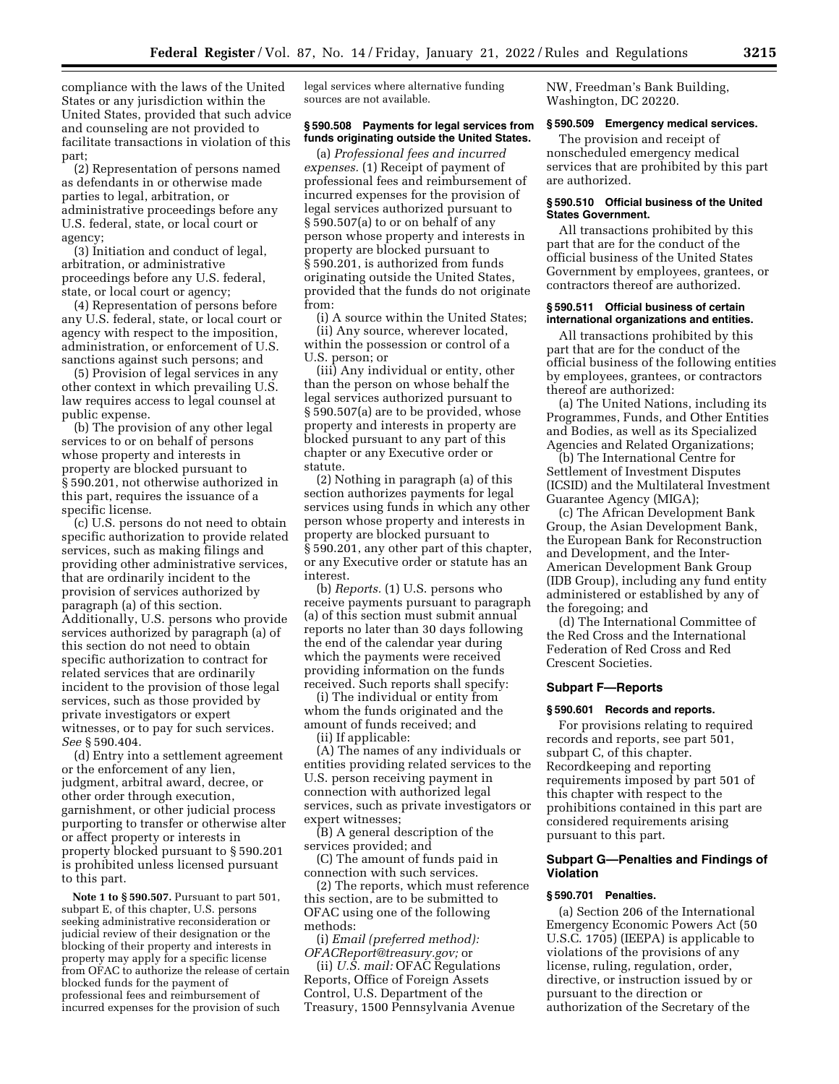compliance with the laws of the United States or any jurisdiction within the United States, provided that such advice and counseling are not provided to facilitate transactions in violation of this part;

(2) Representation of persons named as defendants in or otherwise made parties to legal, arbitration, or administrative proceedings before any U.S. federal, state, or local court or agency;

(3) Initiation and conduct of legal, arbitration, or administrative proceedings before any U.S. federal, state, or local court or agency;

(4) Representation of persons before any U.S. federal, state, or local court or agency with respect to the imposition, administration, or enforcement of U.S. sanctions against such persons; and

(5) Provision of legal services in any other context in which prevailing U.S. law requires access to legal counsel at public expense.

(b) The provision of any other legal services to or on behalf of persons whose property and interests in property are blocked pursuant to § 590.201, not otherwise authorized in this part, requires the issuance of a specific license.

(c) U.S. persons do not need to obtain specific authorization to provide related services, such as making filings and providing other administrative services, that are ordinarily incident to the provision of services authorized by paragraph (a) of this section. Additionally, U.S. persons who provide services authorized by paragraph (a) of this section do not need to obtain specific authorization to contract for related services that are ordinarily incident to the provision of those legal services, such as those provided by private investigators or expert witnesses, or to pay for such services. *See* § 590.404.

(d) Entry into a settlement agreement or the enforcement of any lien, judgment, arbitral award, decree, or other order through execution, garnishment, or other judicial process purporting to transfer or otherwise alter or affect property or interests in property blocked pursuant to § 590.201 is prohibited unless licensed pursuant to this part.

**Note 1 to § 590.507.** Pursuant to part 501, subpart E, of this chapter, U.S. persons seeking administrative reconsideration or judicial review of their designation or the blocking of their property and interests in property may apply for a specific license from OFAC to authorize the release of certain blocked funds for the payment of professional fees and reimbursement of incurred expenses for the provision of such

legal services where alternative funding sources are not available.

#### **§ 590.508 Payments for legal services from funds originating outside the United States.**

(a) *Professional fees and incurred expenses.* (1) Receipt of payment of professional fees and reimbursement of incurred expenses for the provision of legal services authorized pursuant to § 590.507(a) to or on behalf of any person whose property and interests in property are blocked pursuant to § 590.201, is authorized from funds originating outside the United States, provided that the funds do not originate from:

(i) A source within the United States; (ii) Any source, wherever located, within the possession or control of a U.S. person; or

(iii) Any individual or entity, other than the person on whose behalf the legal services authorized pursuant to § 590.507(a) are to be provided, whose property and interests in property are blocked pursuant to any part of this chapter or any Executive order or statute.

(2) Nothing in paragraph (a) of this section authorizes payments for legal services using funds in which any other person whose property and interests in property are blocked pursuant to § 590.201, any other part of this chapter, or any Executive order or statute has an interest.

(b) *Reports.* (1) U.S. persons who receive payments pursuant to paragraph (a) of this section must submit annual reports no later than 30 days following the end of the calendar year during which the payments were received providing information on the funds received. Such reports shall specify:

(i) The individual or entity from whom the funds originated and the amount of funds received; and (ii) If applicable:

(A) The names of any individuals or entities providing related services to the U.S. person receiving payment in connection with authorized legal services, such as private investigators or expert witnesses;

(B) A general description of the services provided; and

(C) The amount of funds paid in connection with such services.

(2) The reports, which must reference this section, are to be submitted to OFAC using one of the following methods:

(i) *Email (preferred method): [OFACReport@treasury.gov;](mailto:OFACReport@treasury.gov)* or

(ii) *U.S. mail:* OFAC Regulations Reports, Office of Foreign Assets Control, U.S. Department of the Treasury, 1500 Pennsylvania Avenue NW, Freedman's Bank Building, Washington, DC 20220.

## **§ 590.509 Emergency medical services.**

The provision and receipt of nonscheduled emergency medical services that are prohibited by this part are authorized.

#### **§ 590.510 Official business of the United States Government.**

All transactions prohibited by this part that are for the conduct of the official business of the United States Government by employees, grantees, or contractors thereof are authorized.

### **§ 590.511 Official business of certain international organizations and entities.**

All transactions prohibited by this part that are for the conduct of the official business of the following entities by employees, grantees, or contractors thereof are authorized:

(a) The United Nations, including its Programmes, Funds, and Other Entities and Bodies, as well as its Specialized Agencies and Related Organizations;

(b) The International Centre for Settlement of Investment Disputes (ICSID) and the Multilateral Investment Guarantee Agency (MIGA);

(c) The African Development Bank Group, the Asian Development Bank, the European Bank for Reconstruction and Development, and the Inter-American Development Bank Group (IDB Group), including any fund entity administered or established by any of the foregoing; and

(d) The International Committee of the Red Cross and the International Federation of Red Cross and Red Crescent Societies.

### **Subpart F—Reports**

#### **§ 590.601 Records and reports.**

For provisions relating to required records and reports, see part 501, subpart C, of this chapter. Recordkeeping and reporting requirements imposed by part 501 of this chapter with respect to the prohibitions contained in this part are considered requirements arising pursuant to this part.

#### **Subpart G—Penalties and Findings of Violation**

#### **§ 590.701 Penalties.**

(a) Section 206 of the International Emergency Economic Powers Act (50 U.S.C. 1705) (IEEPA) is applicable to violations of the provisions of any license, ruling, regulation, order, directive, or instruction issued by or pursuant to the direction or authorization of the Secretary of the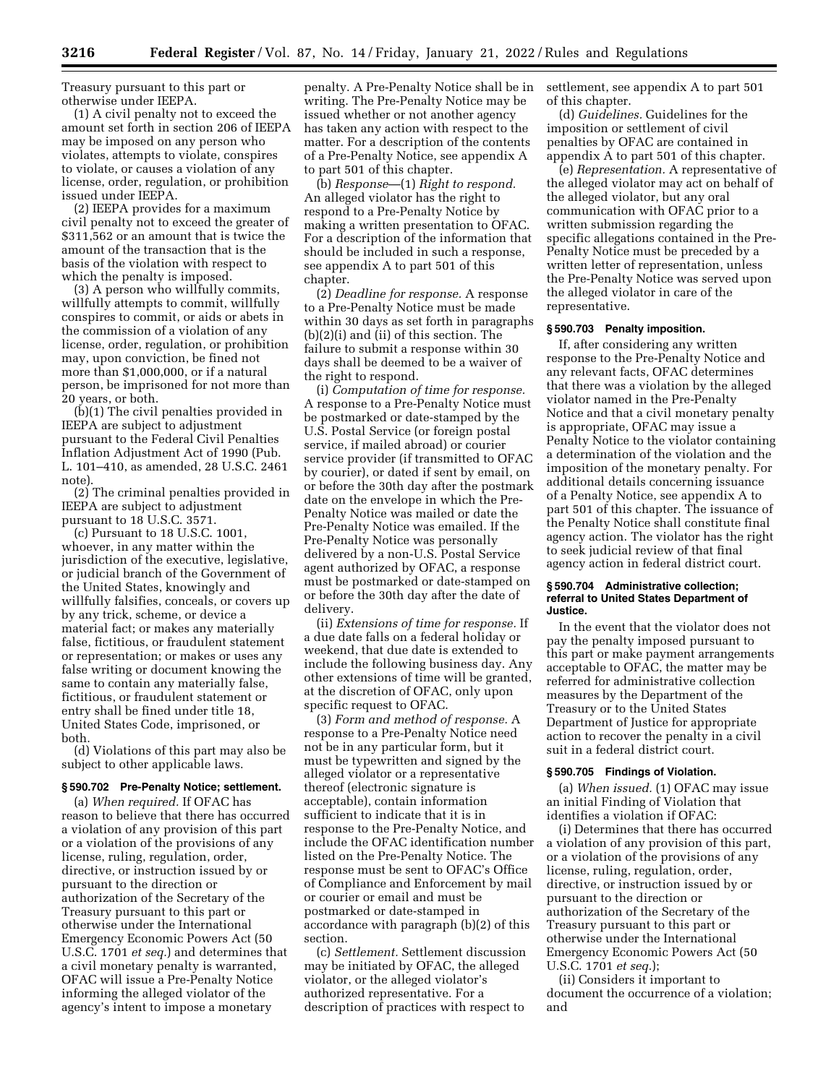Treasury pursuant to this part or otherwise under IEEPA.

(1) A civil penalty not to exceed the amount set forth in section 206 of IEEPA may be imposed on any person who violates, attempts to violate, conspires to violate, or causes a violation of any license, order, regulation, or prohibition issued under IEEPA.

(2) IEEPA provides for a maximum civil penalty not to exceed the greater of \$311,562 or an amount that is twice the amount of the transaction that is the basis of the violation with respect to which the penalty is imposed.

(3) A person who willfully commits, willfully attempts to commit, willfully conspires to commit, or aids or abets in the commission of a violation of any license, order, regulation, or prohibition may, upon conviction, be fined not more than \$1,000,000, or if a natural person, be imprisoned for not more than 20 years, or both.

(b)(1) The civil penalties provided in IEEPA are subject to adjustment pursuant to the Federal Civil Penalties Inflation Adjustment Act of 1990 (Pub. L. 101–410, as amended, 28 U.S.C. 2461 note).

(2) The criminal penalties provided in IEEPA are subject to adjustment pursuant to 18 U.S.C. 3571.

(c) Pursuant to 18 U.S.C. 1001, whoever, in any matter within the jurisdiction of the executive, legislative, or judicial branch of the Government of the United States, knowingly and willfully falsifies, conceals, or covers up by any trick, scheme, or device a material fact; or makes any materially false, fictitious, or fraudulent statement or representation; or makes or uses any false writing or document knowing the same to contain any materially false, fictitious, or fraudulent statement or entry shall be fined under title 18, United States Code, imprisoned, or both.

(d) Violations of this part may also be subject to other applicable laws.

#### **§ 590.702 Pre-Penalty Notice; settlement.**

(a) *When required.* If OFAC has reason to believe that there has occurred a violation of any provision of this part or a violation of the provisions of any license, ruling, regulation, order, directive, or instruction issued by or pursuant to the direction or authorization of the Secretary of the Treasury pursuant to this part or otherwise under the International Emergency Economic Powers Act (50 U.S.C. 1701 *et seq.*) and determines that a civil monetary penalty is warranted, OFAC will issue a Pre-Penalty Notice informing the alleged violator of the agency's intent to impose a monetary

penalty. A Pre-Penalty Notice shall be in writing. The Pre-Penalty Notice may be issued whether or not another agency has taken any action with respect to the matter. For a description of the contents of a Pre-Penalty Notice, see appendix A to part 501 of this chapter.

(b) *Response*—(1) *Right to respond.*  An alleged violator has the right to respond to a Pre-Penalty Notice by making a written presentation to OFAC. For a description of the information that should be included in such a response, see appendix A to part 501 of this chapter.

(2) *Deadline for response.* A response to a Pre-Penalty Notice must be made within 30 days as set forth in paragraphs (b)(2)(i) and (ii) of this section. The failure to submit a response within 30 days shall be deemed to be a waiver of the right to respond.

(i) *Computation of time for response.*  A response to a Pre-Penalty Notice must be postmarked or date-stamped by the U.S. Postal Service (or foreign postal service, if mailed abroad) or courier service provider (if transmitted to OFAC by courier), or dated if sent by email, on or before the 30th day after the postmark date on the envelope in which the Pre-Penalty Notice was mailed or date the Pre-Penalty Notice was emailed. If the Pre-Penalty Notice was personally delivered by a non-U.S. Postal Service agent authorized by OFAC, a response must be postmarked or date-stamped on or before the 30th day after the date of delivery.

(ii) *Extensions of time for response.* If a due date falls on a federal holiday or weekend, that due date is extended to include the following business day. Any other extensions of time will be granted, at the discretion of OFAC, only upon specific request to OFAC.

(3) *Form and method of response.* A response to a Pre-Penalty Notice need not be in any particular form, but it must be typewritten and signed by the alleged violator or a representative thereof (electronic signature is acceptable), contain information sufficient to indicate that it is in response to the Pre-Penalty Notice, and include the OFAC identification number listed on the Pre-Penalty Notice. The response must be sent to OFAC's Office of Compliance and Enforcement by mail or courier or email and must be postmarked or date-stamped in accordance with paragraph (b)(2) of this section.

(c) *Settlement.* Settlement discussion may be initiated by OFAC, the alleged violator, or the alleged violator's authorized representative. For a description of practices with respect to settlement, see appendix A to part 501 of this chapter.

(d) *Guidelines.* Guidelines for the imposition or settlement of civil penalties by OFAC are contained in appendix A to part 501 of this chapter.

(e) *Representation.* A representative of the alleged violator may act on behalf of the alleged violator, but any oral communication with OFAC prior to a written submission regarding the specific allegations contained in the Pre-Penalty Notice must be preceded by a written letter of representation, unless the Pre-Penalty Notice was served upon the alleged violator in care of the representative.

### **§ 590.703 Penalty imposition.**

If, after considering any written response to the Pre-Penalty Notice and any relevant facts, OFAC determines that there was a violation by the alleged violator named in the Pre-Penalty Notice and that a civil monetary penalty is appropriate, OFAC may issue a Penalty Notice to the violator containing a determination of the violation and the imposition of the monetary penalty. For additional details concerning issuance of a Penalty Notice, see appendix A to part 501 of this chapter. The issuance of the Penalty Notice shall constitute final agency action. The violator has the right to seek judicial review of that final agency action in federal district court.

### **§ 590.704 Administrative collection; referral to United States Department of Justice.**

In the event that the violator does not pay the penalty imposed pursuant to this part or make payment arrangements acceptable to OFAC, the matter may be referred for administrative collection measures by the Department of the Treasury or to the United States Department of Justice for appropriate action to recover the penalty in a civil suit in a federal district court.

#### **§ 590.705 Findings of Violation.**

(a) *When issued.* (1) OFAC may issue an initial Finding of Violation that identifies a violation if OFAC:

(i) Determines that there has occurred a violation of any provision of this part, or a violation of the provisions of any license, ruling, regulation, order, directive, or instruction issued by or pursuant to the direction or authorization of the Secretary of the Treasury pursuant to this part or otherwise under the International Emergency Economic Powers Act (50 U.S.C. 1701 *et seq.*);

(ii) Considers it important to document the occurrence of a violation; and